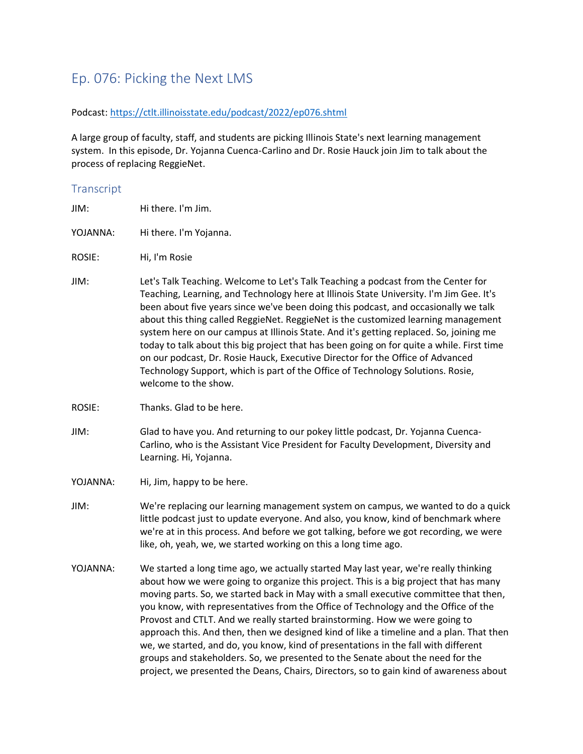## Ep. 076: Picking the Next LMS

## Podcast[: https://ctlt.illinoisstate.edu/podcast/2022/ep076.shtml](https://ctlt.illinoisstate.edu/podcast/2022/ep076.shtml)

A large group of faculty, staff, and students are picking Illinois State's next learning management system. In this episode, Dr. Yojanna Cuenca-Carlino and Dr. Rosie Hauck join Jim to talk about the process of replacing ReggieNet.

## **Transcript**

- JIM: Hi there. I'm Jim.
- YOJANNA: Hi there. I'm Yojanna.
- ROSIE: Hi, I'm Rosie
- JIM: Let's Talk Teaching. Welcome to Let's Talk Teaching a podcast from the Center for Teaching, Learning, and Technology here at Illinois State University. I'm Jim Gee. It's been about five years since we've been doing this podcast, and occasionally we talk about this thing called ReggieNet. ReggieNet is the customized learning management system here on our campus at Illinois State. And it's getting replaced. So, joining me today to talk about this big project that has been going on for quite a while. First time on our podcast, Dr. Rosie Hauck, Executive Director for the Office of Advanced Technology Support, which is part of the Office of Technology Solutions. Rosie, welcome to the show.
- ROSIE: Thanks. Glad to be here.
- JIM: Glad to have you. And returning to our pokey little podcast, Dr. Yojanna Cuenca-Carlino, who is the Assistant Vice President for Faculty Development, Diversity and Learning. Hi, Yojanna.
- YOJANNA: Hi, Jim, happy to be here.
- JIM: We're replacing our learning management system on campus, we wanted to do a quick little podcast just to update everyone. And also, you know, kind of benchmark where we're at in this process. And before we got talking, before we got recording, we were like, oh, yeah, we, we started working on this a long time ago.
- YOJANNA: We started a long time ago, we actually started May last year, we're really thinking about how we were going to organize this project. This is a big project that has many moving parts. So, we started back in May with a small executive committee that then, you know, with representatives from the Office of Technology and the Office of the Provost and CTLT. And we really started brainstorming. How we were going to approach this. And then, then we designed kind of like a timeline and a plan. That then we, we started, and do, you know, kind of presentations in the fall with different groups and stakeholders. So, we presented to the Senate about the need for the project, we presented the Deans, Chairs, Directors, so to gain kind of awareness about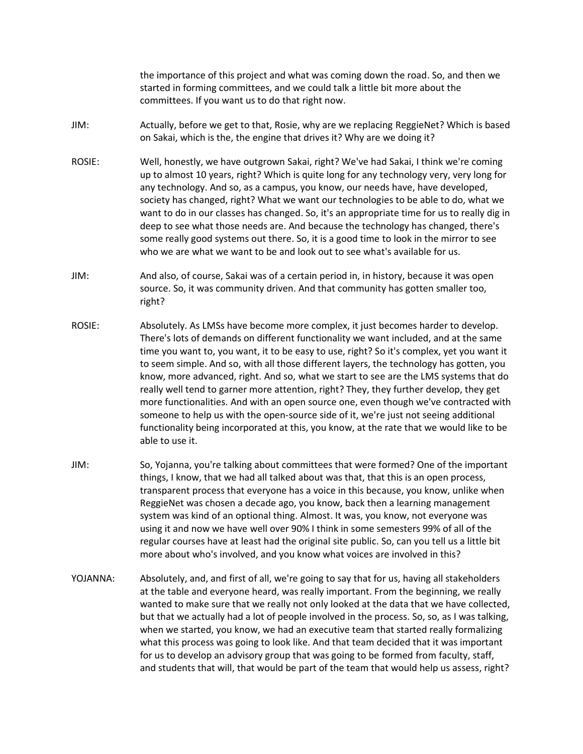the importance of this project and what was coming down the road. So, and then we started in forming committees, and we could talk a little bit more about the committees. If you want us to do that right now.

- JIM: Actually, before we get to that, Rosie, why are we replacing ReggieNet? Which is based on Sakai, which is the, the engine that drives it? Why are we doing it?
- ROSIE: Well, honestly, we have outgrown Sakai, right? We've had Sakai, I think we're coming up to almost 10 years, right? Which is quite long for any technology very, very long for any technology. And so, as a campus, you know, our needs have, have developed, society has changed, right? What we want our technologies to be able to do, what we want to do in our classes has changed. So, it's an appropriate time for us to really dig in deep to see what those needs are. And because the technology has changed, there's some really good systems out there. So, it is a good time to look in the mirror to see who we are what we want to be and look out to see what's available for us.
- JIM: And also, of course, Sakai was of a certain period in, in history, because it was open source. So, it was community driven. And that community has gotten smaller too, right?
- ROSIE: Absolutely. As LMSs have become more complex, it just becomes harder to develop. There's lots of demands on different functionality we want included, and at the same time you want to, you want, it to be easy to use, right? So it's complex, yet you want it to seem simple. And so, with all those different layers, the technology has gotten, you know, more advanced, right. And so, what we start to see are the LMS systems that do really well tend to garner more attention, right? They, they further develop, they get more functionalities. And with an open source one, even though we've contracted with someone to help us with the open-source side of it, we're just not seeing additional functionality being incorporated at this, you know, at the rate that we would like to be able to use it.
- JIM: So, Yojanna, you're talking about committees that were formed? One of the important things, I know, that we had all talked about was that, that this is an open process, transparent process that everyone has a voice in this because, you know, unlike when ReggieNet was chosen a decade ago, you know, back then a learning management system was kind of an optional thing. Almost. It was, you know, not everyone was using it and now we have well over 90% I think in some semesters 99% of all of the regular courses have at least had the original site public. So, can you tell us a little bit more about who's involved, and you know what voices are involved in this?
- YOJANNA: Absolutely, and, and first of all, we're going to say that for us, having all stakeholders at the table and everyone heard, was really important. From the beginning, we really wanted to make sure that we really not only looked at the data that we have collected, but that we actually had a lot of people involved in the process. So, so, as I was talking, when we started, you know, we had an executive team that started really formalizing what this process was going to look like. And that team decided that it was important for us to develop an advisory group that was going to be formed from faculty, staff, and students that will, that would be part of the team that would help us assess, right?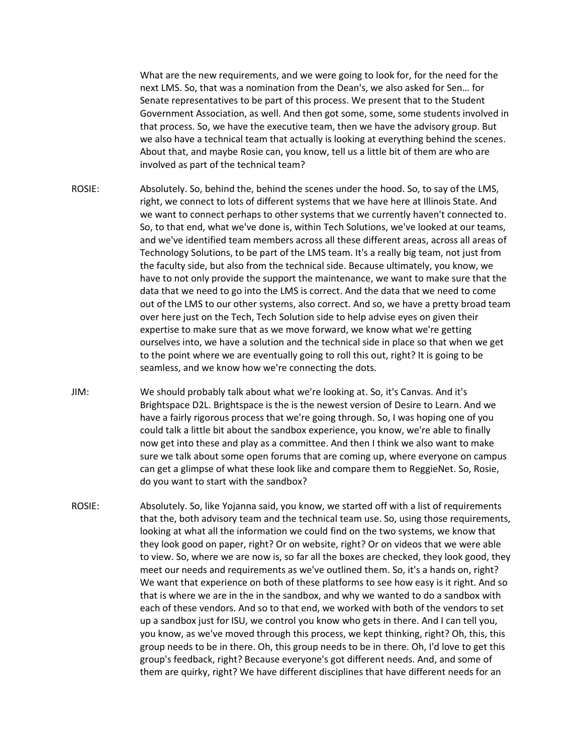What are the new requirements, and we were going to look for, for the need for the next LMS. So, that was a nomination from the Dean's, we also asked for Sen… for Senate representatives to be part of this process. We present that to the Student Government Association, as well. And then got some, some, some students involved in that process. So, we have the executive team, then we have the advisory group. But we also have a technical team that actually is looking at everything behind the scenes. About that, and maybe Rosie can, you know, tell us a little bit of them are who are involved as part of the technical team?

- ROSIE: Absolutely. So, behind the, behind the scenes under the hood. So, to say of the LMS, right, we connect to lots of different systems that we have here at Illinois State. And we want to connect perhaps to other systems that we currently haven't connected to. So, to that end, what we've done is, within Tech Solutions, we've looked at our teams, and we've identified team members across all these different areas, across all areas of Technology Solutions, to be part of the LMS team. It's a really big team, not just from the faculty side, but also from the technical side. Because ultimately, you know, we have to not only provide the support the maintenance, we want to make sure that the data that we need to go into the LMS is correct. And the data that we need to come out of the LMS to our other systems, also correct. And so, we have a pretty broad team over here just on the Tech, Tech Solution side to help advise eyes on given their expertise to make sure that as we move forward, we know what we're getting ourselves into, we have a solution and the technical side in place so that when we get to the point where we are eventually going to roll this out, right? It is going to be seamless, and we know how we're connecting the dots.
- JIM: We should probably talk about what we're looking at. So, it's Canvas. And it's Brightspace D2L. Brightspace is the is the newest version of Desire to Learn. And we have a fairly rigorous process that we're going through. So, I was hoping one of you could talk a little bit about the sandbox experience, you know, we're able to finally now get into these and play as a committee. And then I think we also want to make sure we talk about some open forums that are coming up, where everyone on campus can get a glimpse of what these look like and compare them to ReggieNet. So, Rosie, do you want to start with the sandbox?
- ROSIE: Absolutely. So, like Yojanna said, you know, we started off with a list of requirements that the, both advisory team and the technical team use. So, using those requirements, looking at what all the information we could find on the two systems, we know that they look good on paper, right? Or on website, right? Or on videos that we were able to view. So, where we are now is, so far all the boxes are checked, they look good, they meet our needs and requirements as we've outlined them. So, it's a hands on, right? We want that experience on both of these platforms to see how easy is it right. And so that is where we are in the in the sandbox, and why we wanted to do a sandbox with each of these vendors. And so to that end, we worked with both of the vendors to set up a sandbox just for ISU, we control you know who gets in there. And I can tell you, you know, as we've moved through this process, we kept thinking, right? Oh, this, this group needs to be in there. Oh, this group needs to be in there. Oh, I'd love to get this group's feedback, right? Because everyone's got different needs. And, and some of them are quirky, right? We have different disciplines that have different needs for an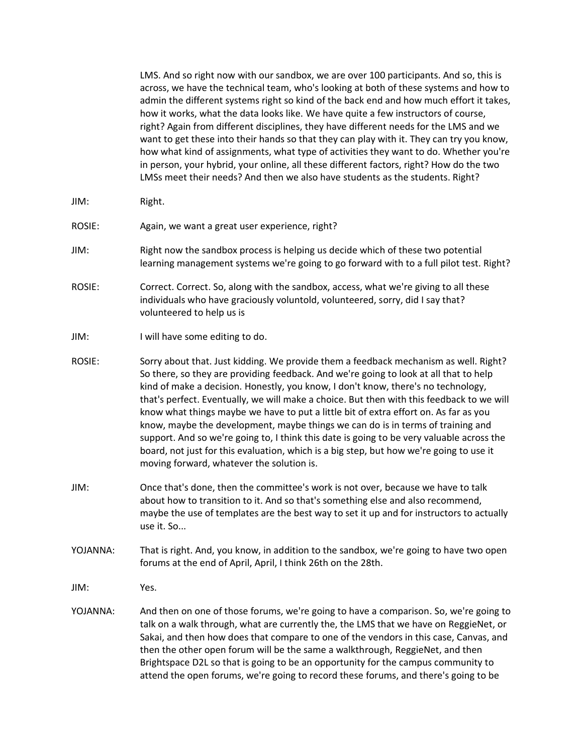LMS. And so right now with our sandbox, we are over 100 participants. And so, this is across, we have the technical team, who's looking at both of these systems and how to admin the different systems right so kind of the back end and how much effort it takes, how it works, what the data looks like. We have quite a few instructors of course, right? Again from different disciplines, they have different needs for the LMS and we want to get these into their hands so that they can play with it. They can try you know, how what kind of assignments, what type of activities they want to do. Whether you're in person, your hybrid, your online, all these different factors, right? How do the two LMSs meet their needs? And then we also have students as the students. Right?

- JIM: Right.
- ROSIE: Again, we want a great user experience, right?
- JIM: Right now the sandbox process is helping us decide which of these two potential learning management systems we're going to go forward with to a full pilot test. Right?
- ROSIE: Correct. Correct. So, along with the sandbox, access, what we're giving to all these individuals who have graciously voluntold, volunteered, sorry, did I say that? volunteered to help us is
- JIM: I will have some editing to do.
- ROSIE: Sorry about that. Just kidding. We provide them a feedback mechanism as well. Right? So there, so they are providing feedback. And we're going to look at all that to help kind of make a decision. Honestly, you know, I don't know, there's no technology, that's perfect. Eventually, we will make a choice. But then with this feedback to we will know what things maybe we have to put a little bit of extra effort on. As far as you know, maybe the development, maybe things we can do is in terms of training and support. And so we're going to, I think this date is going to be very valuable across the board, not just for this evaluation, which is a big step, but how we're going to use it moving forward, whatever the solution is.
- JIM: Once that's done, then the committee's work is not over, because we have to talk about how to transition to it. And so that's something else and also recommend, maybe the use of templates are the best way to set it up and for instructors to actually use it. So...
- YOJANNA: That is right. And, you know, in addition to the sandbox, we're going to have two open forums at the end of April, April, I think 26th on the 28th.

JIM: Yes.

YOJANNA: And then on one of those forums, we're going to have a comparison. So, we're going to talk on a walk through, what are currently the, the LMS that we have on ReggieNet, or Sakai, and then how does that compare to one of the vendors in this case, Canvas, and then the other open forum will be the same a walkthrough, ReggieNet, and then Brightspace D2L so that is going to be an opportunity for the campus community to attend the open forums, we're going to record these forums, and there's going to be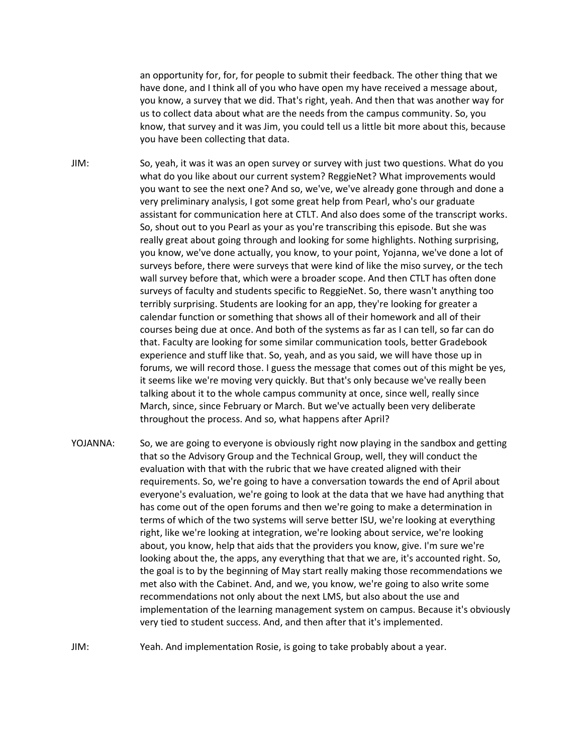an opportunity for, for, for people to submit their feedback. The other thing that we have done, and I think all of you who have open my have received a message about, you know, a survey that we did. That's right, yeah. And then that was another way for us to collect data about what are the needs from the campus community. So, you know, that survey and it was Jim, you could tell us a little bit more about this, because you have been collecting that data.

JIM: So, yeah, it was it was an open survey or survey with just two questions. What do you what do you like about our current system? ReggieNet? What improvements would you want to see the next one? And so, we've, we've already gone through and done a very preliminary analysis, I got some great help from Pearl, who's our graduate assistant for communication here at CTLT. And also does some of the transcript works. So, shout out to you Pearl as your as you're transcribing this episode. But she was really great about going through and looking for some highlights. Nothing surprising, you know, we've done actually, you know, to your point, Yojanna, we've done a lot of surveys before, there were surveys that were kind of like the miso survey, or the tech wall survey before that, which were a broader scope. And then CTLT has often done surveys of faculty and students specific to ReggieNet. So, there wasn't anything too terribly surprising. Students are looking for an app, they're looking for greater a calendar function or something that shows all of their homework and all of their courses being due at once. And both of the systems as far as I can tell, so far can do that. Faculty are looking for some similar communication tools, better Gradebook experience and stuff like that. So, yeah, and as you said, we will have those up in forums, we will record those. I guess the message that comes out of this might be yes, it seems like we're moving very quickly. But that's only because we've really been talking about it to the whole campus community at once, since well, really since March, since, since February or March. But we've actually been very deliberate throughout the process. And so, what happens after April?

- YOJANNA: So, we are going to everyone is obviously right now playing in the sandbox and getting that so the Advisory Group and the Technical Group, well, they will conduct the evaluation with that with the rubric that we have created aligned with their requirements. So, we're going to have a conversation towards the end of April about everyone's evaluation, we're going to look at the data that we have had anything that has come out of the open forums and then we're going to make a determination in terms of which of the two systems will serve better ISU, we're looking at everything right, like we're looking at integration, we're looking about service, we're looking about, you know, help that aids that the providers you know, give. I'm sure we're looking about the, the apps, any everything that that we are, it's accounted right. So, the goal is to by the beginning of May start really making those recommendations we met also with the Cabinet. And, and we, you know, we're going to also write some recommendations not only about the next LMS, but also about the use and implementation of the learning management system on campus. Because it's obviously very tied to student success. And, and then after that it's implemented.
- JIM: Yeah. And implementation Rosie, is going to take probably about a year.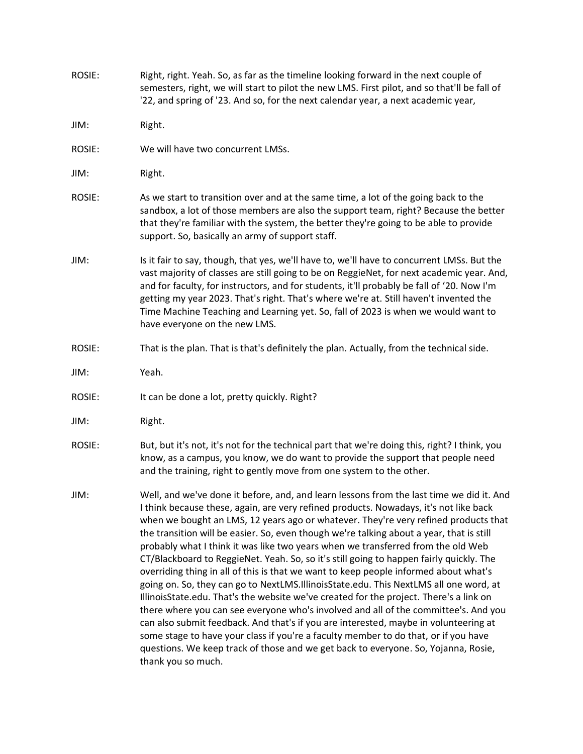ROSIE: Right, right. Yeah. So, as far as the timeline looking forward in the next couple of semesters, right, we will start to pilot the new LMS. First pilot, and so that'll be fall of '22, and spring of '23. And so, for the next calendar year, a next academic year,

JIM: Right.

- ROSIE: We will have two concurrent LMSs.
- JIM: Right.
- ROSIE: As we start to transition over and at the same time, a lot of the going back to the sandbox, a lot of those members are also the support team, right? Because the better that they're familiar with the system, the better they're going to be able to provide support. So, basically an army of support staff.
- JIM: Is it fair to say, though, that yes, we'll have to, we'll have to concurrent LMSs. But the vast majority of classes are still going to be on ReggieNet, for next academic year. And, and for faculty, for instructors, and for students, it'll probably be fall of '20. Now I'm getting my year 2023. That's right. That's where we're at. Still haven't invented the Time Machine Teaching and Learning yet. So, fall of 2023 is when we would want to have everyone on the new LMS.
- ROSIE: That is the plan. That is that's definitely the plan. Actually, from the technical side.
- JIM: Yeah.
- ROSIE: It can be done a lot, pretty quickly. Right?
- JIM: Right.
- ROSIE: But, but it's not, it's not for the technical part that we're doing this, right? I think, you know, as a campus, you know, we do want to provide the support that people need and the training, right to gently move from one system to the other.
- JIM: Well, and we've done it before, and, and learn lessons from the last time we did it. And I think because these, again, are very refined products. Nowadays, it's not like back when we bought an LMS, 12 years ago or whatever. They're very refined products that the transition will be easier. So, even though we're talking about a year, that is still probably what I think it was like two years when we transferred from the old Web CT/Blackboard to ReggieNet. Yeah. So, so it's still going to happen fairly quickly. The overriding thing in all of this is that we want to keep people informed about what's going on. So, they can go to NextLMS.IllinoisState.edu. This NextLMS all one word, at IllinoisState.edu. That's the website we've created for the project. There's a link on there where you can see everyone who's involved and all of the committee's. And you can also submit feedback. And that's if you are interested, maybe in volunteering at some stage to have your class if you're a faculty member to do that, or if you have questions. We keep track of those and we get back to everyone. So, Yojanna, Rosie, thank you so much.